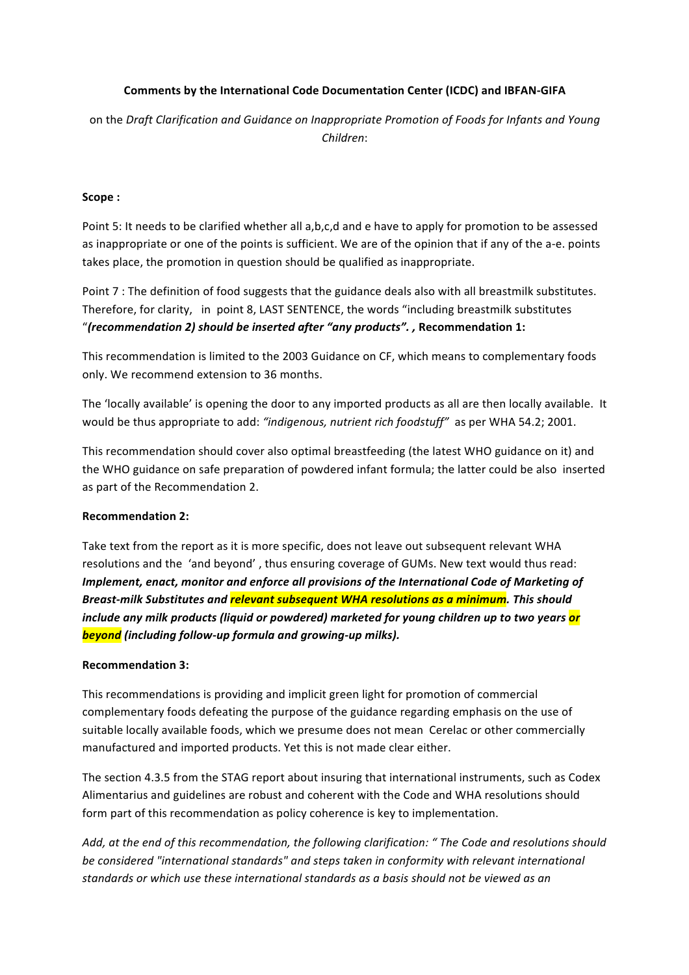# **Comments by the International Code Documentation Center (ICDC) and IBFAN-GIFA**

on the *Draft Clarification and Guidance on Inappropriate Promotion of Foods for Infants and Young Children*:

#### **Scope :**

Point 5: It needs to be clarified whether all a,b,c,d and e have to apply for promotion to be assessed as inappropriate or one of the points is sufficient. We are of the opinion that if any of the a-e. points takes place, the promotion in question should be qualified as inappropriate.

Point 7 : The definition of food suggests that the guidance deals also with all breastmilk substitutes. Therefore, for clarity, in point 8, LAST SENTENCE, the words "including breastmilk substitutes "*(recommendation 2) should be inserted after "any products". ,* **Recommendation 1:**

This recommendation is limited to the 2003 Guidance on CF, which means to complementary foods only. We recommend extension to 36 months.

The 'locally available' is opening the door to any imported products as all are then locally available. It would be thus appropriate to add: "indigenous, nutrient rich foodstuff" as per WHA 54.2; 2001.

This recommendation should cover also optimal breastfeeding (the latest WHO guidance on it) and the WHO guidance on safe preparation of powdered infant formula; the latter could be also inserted as part of the Recommendation 2.

## **Recommendation 2:**

Take text from the report as it is more specific, does not leave out subsequent relevant WHA resolutions and the 'and beyond', thus ensuring coverage of GUMs. New text would thus read: *Implement, enact, monitor and enforce all provisions of the International Code of Marketing of Breast-milk Substitutes and relevant subsequent WHA resolutions as a minimum. This should include any milk products (liquid or powdered)* marketed for young children up to two years or *beyond* (including follow-up formula and growing-up milks).

#### **Recommendation 3:**

This recommendations is providing and implicit green light for promotion of commercial complementary foods defeating the purpose of the guidance regarding emphasis on the use of suitable locally available foods, which we presume does not mean Cerelac or other commercially manufactured and imported products. Yet this is not made clear either.

The section 4.3.5 from the STAG report about insuring that international instruments, such as Codex Alimentarius and guidelines are robust and coherent with the Code and WHA resolutions should form part of this recommendation as policy coherence is key to implementation.

Add, at the end of this recommendation, the following clarification: " The Code and resolutions should be considered "international standards" and steps taken in conformity with relevant international standards or which use these international standards as a basis should not be viewed as an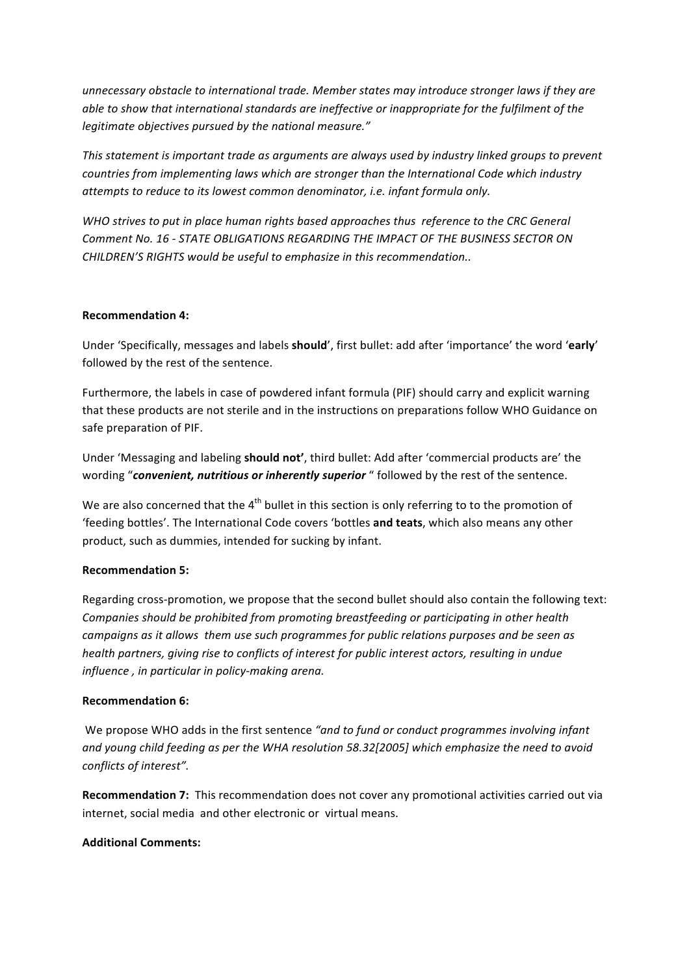*unnecessary* obstacle to international trade. Member states may introduce stronger laws if they are *able to show that international standards are ineffective or inappropriate for the fulfilment of the legitimate objectives pursued by the national measure."* 

*This* statement is important trade as arguments are always used by industry linked groups to prevent *countries from implementing laws which are stronger than the International Code which industry attempts to reduce to its lowest common denominator, i.e. infant formula only.* 

WHO strives to put in place human rights based approaches thus reference to the CRC General **Comment No. 16 - STATE OBLIGATIONS REGARDING THE IMPACT OF THE BUSINESS SECTOR ON** *CHILDREN'S RIGHTS would be useful to emphasize in this recommendation..* 

## **Recommendation 4:**

Under 'Specifically, messages and labels **should'**, first bullet: add after 'importance' the word 'early' followed by the rest of the sentence.

Furthermore, the labels in case of powdered infant formula (PIF) should carry and explicit warning that these products are not sterile and in the instructions on preparations follow WHO Guidance on safe preparation of PIF.

Under 'Messaging and labeling **should not'**, third bullet: Add after 'commercial products are' the wording "convenient, nutritious or inherently superior " followed by the rest of the sentence.

We are also concerned that the  $4<sup>th</sup>$  bullet in this section is only referring to to the promotion of 'feeding bottles'. The International Code covers 'bottles and teats, which also means any other product, such as dummies, intended for sucking by infant.

## **Recommendation 5:**

Regarding cross-promotion, we propose that the second bullet should also contain the following text: *Companies should be prohibited from promoting breastfeeding or participating in other health campaigns as it allows them use such programmes for public relations purposes and be seen as health partners, giving rise to conflicts of interest for public interest actors, resulting in undue influence*, *in particular in policy-making arena.* 

## **Recommendation 6:**

We propose WHO adds in the first sentence "and to fund or conduct programmes involving infant and young child feeding as per the WHA resolution 58.32[2005] which emphasize the need to avoid conflicts of interest".

**Recommendation 7:** This recommendation does not cover any promotional activities carried out via internet, social media and other electronic or virtual means.

## **Additional Comments:**